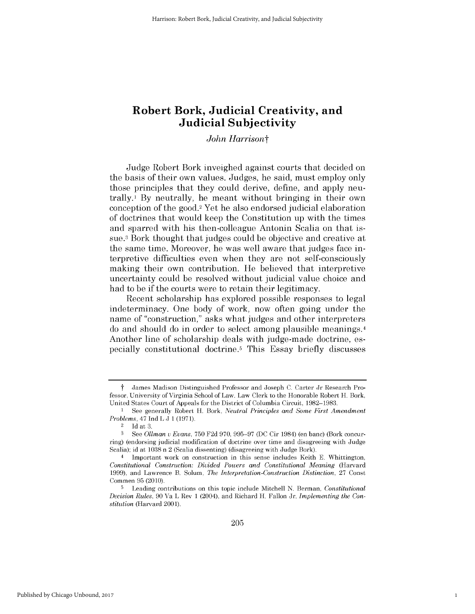*John Harrisont*

Judge Robert Bork inveighed against courts that decided on the basis of their own values. Judges, he said, must employ only those principles that they could derive, define, and apply neutrally.1 **By** neutrally, he meant without bringing in their own conception of the good.2 Yet he also endorsed judicial elaboration of doctrines that would keep the Constitution up with the times and sparred with his then-colleague Antonin Scalia on that **is**sue. 3 Bork thought that judges could be objective and creative at the same time. Moreover, he was well aware that judges face interpretive difficulties even when they are not self-consciously making their own contribution. He believed that interpretive uncertainty could be resolved without judicial value choice and had to be **if** the courts were to retain their legitimacy.

Recent scholarship has explored possible responses to legal indeterminacy. One body of work, now often going under the name of "construction," asks what judges and other interpreters do and should do in order to select among plausible meanings.4 Another line of scholarship deals with judge-made doctrine, especially constitutional doctrine.5 This Essay briefly discusses

1

t James Madison Distinguished Professor and Joseph **C.** Carter Jr Research Professor, University of Virginia School of Law. Law Clerk to the Honorable Robert H. Bork, United States Court of Appeals for the District of Columbia Circuit, **1982-1983.**

**<sup>1</sup>** See generally Robert H. Bork, *Neutral Principles and Some First Amendment Problems,* 47 Ind L **J 1 (1971).**

 $rac{2}{3}$  Id at 3.<br><sup>3</sup> See Oli

**<sup>3</sup>** See *Ollman u Evans,* **750 F2d 970, 995-97 (DC** Cir 1984) (en banc) (Bork concurring) (endorsing judicial modification of doctrine over time and disagreeing with Judge Scalia); id at **1038** n 2 (Scalia dissenting) (disagreeing with Judge Bork).

<sup>4</sup> Important work on construction in this sense includes Keith **E.** Whittington, *Constitutional Construction: Divided Powers and Constitutional Meaning* (Harvard **1999),** and Lawrence B. Solum, *The Interpretation-Construction Distinction,* **27** Const Commen **95** (2010).

**<sup>5</sup>**Leading contributions on this topic include Mitchell **N.** Berman, *Constitutional Decision Rules,* **90** Va L Rev **1** (2004), and Richard H. Fallon Jr, *Implementing the Constitution* (Harvard 2001).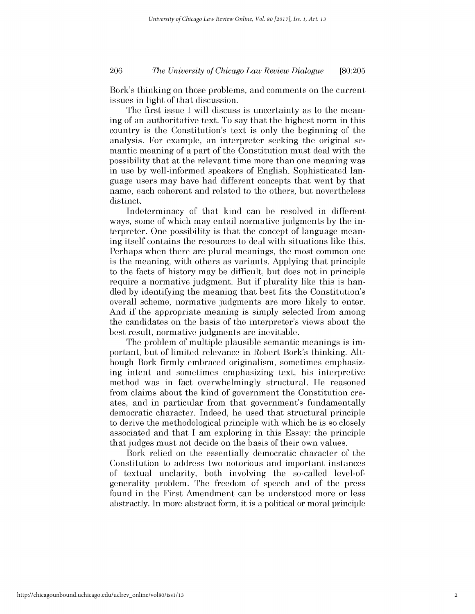# *The University of Chicago Law Review Dialogue* 206 **[80:205**

Bork's thinking on those problems, and comments on the current issues in light of that discussion.

The first issue **I** will discuss is uncertainty as to the meaning of an authoritative text. To say that the highest norm in this country is the Constitution's text is only the beginning of the analysis. For example, an interpreter seeking the original semantic meaning of a part of the Constitution must deal with the possibility that at the relevant time more than one meaning was in use **by** well-informed speakers of English. Sophisticated language users may have had different concepts that went **by** that name, each coherent and related to the others, but nevertheless distinct.

Indeterminacy of that kind can be resolved in different ways, some of which may entail normative judgments **by** the interpreter. One possibility is that the concept of language meaning itself contains the resources to deal with situations like this. Perhaps when there are plural meanings, the most common one is the meaning, with others as variants. Applying that principle to the facts of history may be difficult, but does not in principle require a normative judgment. But **if** plurality like this is handled **by** identifying the meaning that best fits the Constitution's overall scheme, normative judgments are more likely to enter. And **if** the appropriate meaning is simply selected from among the candidates on the basis of the interpreter's views about the best result, normative judgments are inevitable.

The problem of multiple plausible semantic meanings is *im*portant, but of limited relevance in Robert Bork's thinking. Although Bork firmly embraced originalism, sometimes emphasizing intent and sometimes emphasizing text, his interpretive method was **in** fact overwhelmingly structural. He reasoned from claims about the kind of government the Constitution creates, and in particular from that government's fundamentally democratic character. Indeed, he used that structural principle to derive the methodological principle with which he *is* so closely associated and that **I** am exploring in this Essay: the principle that judges must not decide on the basis of their own values.

Bork relied on the essentially democratic character of the Constitution to address two notorious and important instances of textual unclarity, both involving the so-called level-ofgenerality problem. The freedom of speech and of the press found in the First Amendment can be understood more or *less* abstractly. In more abstract form, it *is* a political or moral principle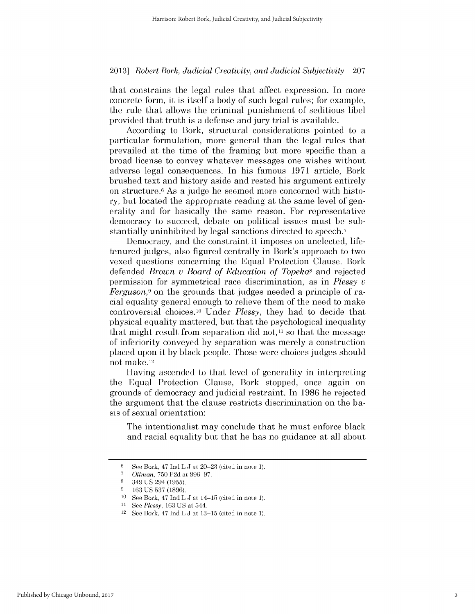that constrains the legal rules that affect expression. In more concrete form, it *is* itself a body of such legal rules; for example, the rule that allows the criminal punishment of seditious libel provided that truth is a defense and jury trial is available.

According to Bork, structural considerations pointed to a particular formulation, more general than the legal rules that prevailed at the time of the framing but more specific than a broad license to convey whatever messages one wishes without adverse legal consequences. In his famous **1971** article, Bork brushed text and history aside and rested his argument entirely on structure.6 As a judge he seemed more concerned with history, but located the appropriate reading at the same level of generality and for basically the same reason. For representative democracy to succeed, debate on political issues must be substantially uninhibited **by** legal sanctions directed to speech.7

Democracy, and the constraint it imposes on unelected, lifetenured judges, also figured centrally in Bork's approach to two vexed questions concerning the Equal Protection Clause. Bork defended *Brown v Board of Education of Topeka8* and rejected permission for symmetrical race discrimination, as in *Plessy u Ferguson,9* on the grounds that judges needed a principle of racial equality general enough to relieve them of the need to make controversial choices.<sup>10</sup> Under *Plessy*, they had to decide that physical equality mattered, but that the psychological inequality that might result from separation did not,<sup>11</sup> so that the message of inferiority conveyed **by** separation was merely a construction placed upon it **by** black people. Those were choices judges should not make.12

Having ascended to that level of generality in interpreting the Equal Protection Clause, Bork stopped, once again on grounds of democracy and judicial restraint. In **1986** he rejected the argument that the clause restricts discrimination on the ba*sis* of sexual orientation:

The intentionalist may conclude that he must enforce black and racial equality but that he has no guidance at all about

**<sup>6</sup>** See Bork, 47 Ind L **J** at 20–23 (cited in note 1).<br> **6** Olman 750 E2d at 996 97

**<sup>7</sup>***Olman,* **750 F2d** at **996-97.**

**<sup>8</sup>**349 **US** 294 **(1955).**

**<sup>9 163</sup> US 537 (1896).**

**<sup>10</sup>**See Bork, 47 Ind L **J** at 14-15 (cited in note **1).**

<sup>11</sup>*See Plessy,* **163 US** at 544. 12 See Bork, 47 Ind L **J** at **13-15** (cited in note **1).**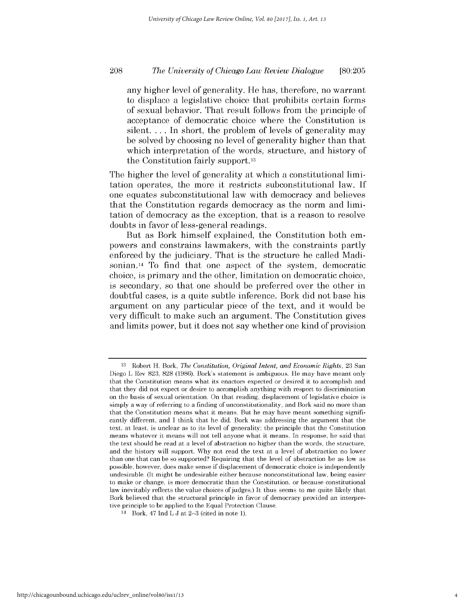# *The University of Chicago Law Review Dialogue* **208 [80:205**

any higher level of generality. He has, therefore, no warrant to displace a legislative choice that prohibits certain forms of sexual behavior. That result follows from the principle of acceptance of democratic choice where the Constitution **is** silent. ... In short, the problem of levels of generality may be solved **by** choosing no level of generality higher than that which interpretation of the words, structure, and history of the Constitution fairly support. <sup>13</sup>

The higher the level of generality at which a constitutional limitation operates, the more it restricts subconstitutional law. **If** one equates subconstitutional law with democracy and believes that the Constitution regards democracy as the norm and limitation of democracy as the exception, that is a reason to resolve doubts in favor of less-general readings.

But as Bork himself explained, the Constitution both empowers and constrains lawmakers, with the constraints partly enforced **by** the judiciary. That is the structure he called Madisonian.14 To find that one aspect of the system, democratic choice, is primary and the other, limitation on democratic choice, is secondary, so that one should be preferred over the other in doubtful cases, *is* a quite subtle inference. Bork **did** not base his argument on any particular piece of the text, and it would be very difficult to make such an argument. The Constitution gives and limits power, but it does not say whether one kind of provision

**<sup>13</sup>**Robert H. Bork, *The Constitution, Original Intent, and Economic Rights,* **23** San Diego L Rev **823, 828 (1986).** Bork's statement is ambiguous. He may have meant only that the Constitution means what **its** enactors expected or desired **it** to accomplish and that they did not expect or desire to accomplish anything with respect to discrimination on the basis of sexual orientation. On that reading, displacement of legislative choice is simply a way of referring to a finding of unconstitutionality, and Bork said no more than that the Constitution means what **it** means. But he may have meant something significantly different, and **I** think that he did. Bork was addressing the argument that the text, at least, is unclear as to its level of generality; the principle that the Constitution means whatever **it** means will not tell anyone what **it** means. In response, he said that the text should be read at a level of abstraction no higher than the words, the structure, and the history will support. **Why** not read the text at a level of abstraction no lower than one that can be so supported? Requiring that the level of abstraction be as low as possible, however, does make sense if displacement of democratic choice is independently undesirable. (It might be undesirable either because nonconstitutional law, being easier to make or change, is more democratic than the Constitution, or because constitutional law inevitably reflects the value choices of judges.) It thus seems to me quite likely that Bork believed that the structural principle in favor of democracy provided an interpretive principle to be applied to the Equal Protection Clause.

<sup>14</sup> Bork, 47 Ind L **J** at **2-3** (cited in note **1).**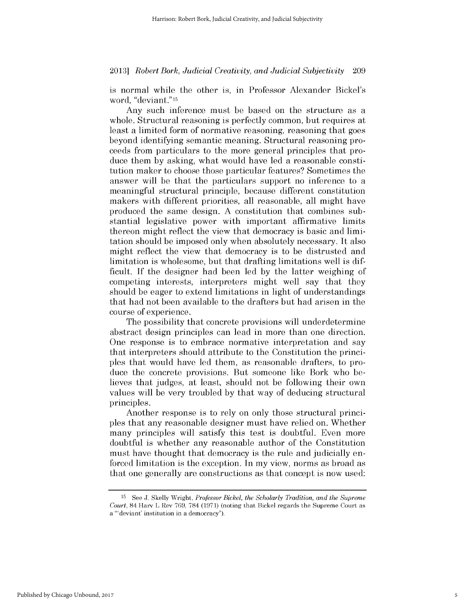is normal while the other is, in Professor Alexander Bickel's word, "deviant."15

Any such inference must be based on the structure as a whole. Structural reasoning is perfectly common, but requires at least a limited form of normative reasoning, reasoning that goes beyond identifying semantic meaning. Structural reasoning proceeds from particulars to the more general principles that produce them **by** asking, what would have led a reasonable constitution maker to choose those particular features? Sometimes the answer will be that the particulars support no inference to a meaningful structural principle, because different constitution makers with different priorities, all reasonable, all might have produced the same design. **A** constitution that combines substantial legislative power with important affirmative limits thereon might reflect the view that democracy is basic and limitation should be imposed only when absolutely necessary. It also might reflect the view that democracy is to be distrusted and limitation is wholesome, but that drafting limitations well is **dif**ficult. **If** the designer had been led **by** the latter weighing of competing interests, interpreters might well say that they should be eager to extend limitations in light of understandings that had not been available to the drafters but had arisen in the course of experience.

The possibility that concrete provisions will underdetermine abstract design principles can lead in more than one direction. One response is to embrace normative interpretation and say that interpreters should attribute to the Constitution the principles that would have led them, as reasonable drafters, to produce the concrete provisions. But someone like Bork who believes that judges, at least, should not be following their **own** values will be very troubled **by** that way of deducing structural principles.

Another response is to rely on only those structural principles that any reasonable designer must have relied on. Whether many principles will satisfy this test is doubtful. Even more doubtful is whether any reasonable author of the Constitution must have thought that democracy is the rule and judicially enforced limitation is the exception. In my view, norms as broad as that one generally are constructions as that concept is now used:

**<sup>15</sup> See J. Skelly** Wright, *Professor Bickel, the Scholarly Tradition, and the Supreme Court,* 84 Harv L Rev **769, 784 (1971)** (noting that Bickel regards the Supreme Court as a 'deviant' institution in a democracy").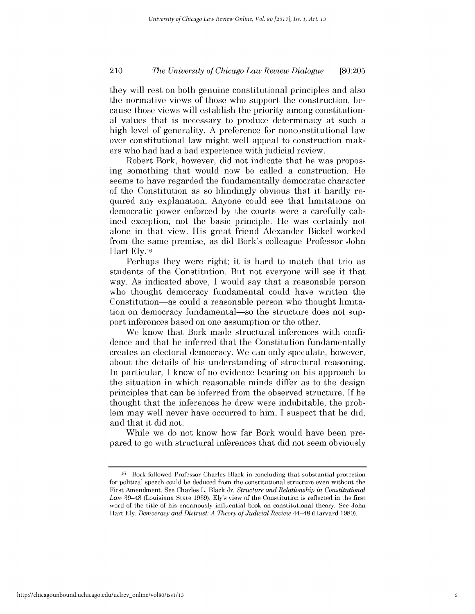# *The University of Chicago Law Review Dialogue* 210 **[80:205**

they will rest on both genuine constitutional principles and also the normative views of those who support the construction, because those views will establish the priority among constitutional values that is necessary to produce determinacy at such a **high** level of generality. **A** preference for nonconstitutional law over constitutional law might well appeal to construction makers who had had a bad experience with judicial review.

Robert Bork, however, **did** not indicate that he was proposing something that would now be called a construction. He seems to have regarded the fundamentally democratic character of the Constitution as so blindingly obvious that it hardly required any explanation. Anyone could see that limitations on democratic power enforced **by** the courts were a carefully cabined exception, not the basic principle. He was certainly not alone in that view. His great friend Alexander Bickel worked from the same premise, as **did** Bork's colleague Professor John Hart **Ely. 16**

Perhaps they were right; it is hard to match that trio as students of the Constitution. But not everyone will see it that way. As indicated above, **I** would say that a reasonable person who thought democracy fundamental could have written the Constitution—as could a reasonable person who thought limitation on democracy fundamental-so the structure does not support inferences based on one assumption or the other.

We know that Bork made structural inferences with confidence and that he inferred that the Constitution fundamentally creates an electoral democracy. We can only speculate, however, about the details of his understanding of structural reasoning. In particular, **I** know of no evidence bearing on his approach to the situation **in** which reasonable minds differ as to the design principles that can be inferred from the observed structure. **If** he thought that the inferences he drew were indubitable, the problem may well never have occurred to him. **I** suspect that he **did,** and that it **did** not.

While we do not know how far Bork would have been prepared to go with structural inferences that **did** not seem obviously

<sup>&</sup>lt;sup>16</sup> Bork followed Professor Charles Black in concluding that substantial protection for political speech could be deduced from the constitutional structure even without the First Amendment. See Charles L. Black Jr, *Structure and Relationship in Constitutional Law* **39-48** (Louisiana State **1969).** Ely's view of the Constitution is reflected in the first word of the title of his enormously influential book on constitutional theory. See John Hart **Ely,** *Democracy and Distrust: A Theory of Judicial Review 44-48* (Harvard **1980).**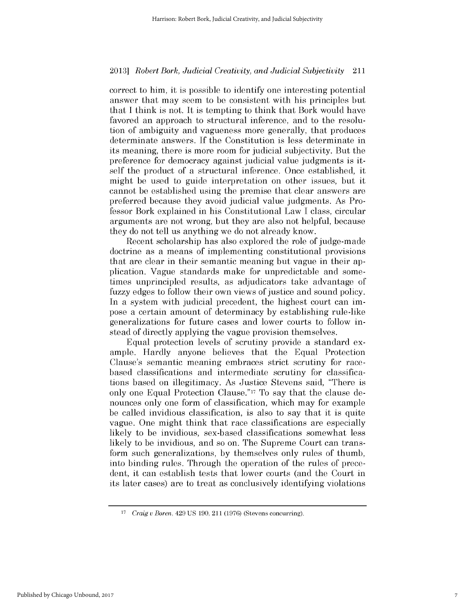correct to him, it is possible to identify one interesting potential answer that may seem to be consistent with his principles but that **I** think is not. It is tempting to think that Bork would have favored an approach to structural inference, and to the resolution of ambiguity and vagueness more generally, that produces determinate answers. **If** the Constitution *is less* determinate in its meaning, there is more room for judicial subjectivity. But the preference for democracy against judicial value judgments is itself the product of a structural inference. Once established, it might be used to guide interpretation on other issues, but it cannot be established using the premise that clear answers are preferred because they avoid judicial value judgments. As Professor Bork explained in his Constitutional Law **I** class, circular arguments are not wrong, but they are also not helpful, because they do not tell us anything we do not already know.

Recent scholarship has also explored the role of judge-made doctrine as a means of implementing constitutional provisions that are clear in their semantic meaning but vague in their application. Vague standards make for unpredictable and sometimes unprincipled results, as adjudicators take advantage of fuzzy edges to follow their own views of justice and sound policy. In a system with judicial precedent, the highest court can **im**pose a certain amount of determinacy **by** establishing rule-like generalizations for future cases and lower courts to follow instead of directly applying the vague provision themselves.

Equal protection levels of scrutiny provide a standard example. Hardly anyone believes that the Equal Protection Clause's semantic meaning embraces strict scrutiny for racebased classifications and intermediate scrutiny for classifications based on illegitimacy. As Justice Stevens said, "There **is** only one Equal Protection Clause."17 To say that the clause denounces only one form of classification, which may for example be called invidious classification, is also to say that it is quite vague. One might think that race classifications are especially likely to be invidious, sex-based classifications somewhat less likely to be invidious, and so on. The Supreme Court can transform such generalizations, **by** themselves only rules of thumb, into binding rules. Through the operation of the rules of precedent, it can establish tests that lower courts (and the Court in its later cases) are to treat as conclusively identifying violations

**<sup>17</sup>***Craig u Boren,* 429 **US 190,** 211 **(1976)** (Stevens concurring).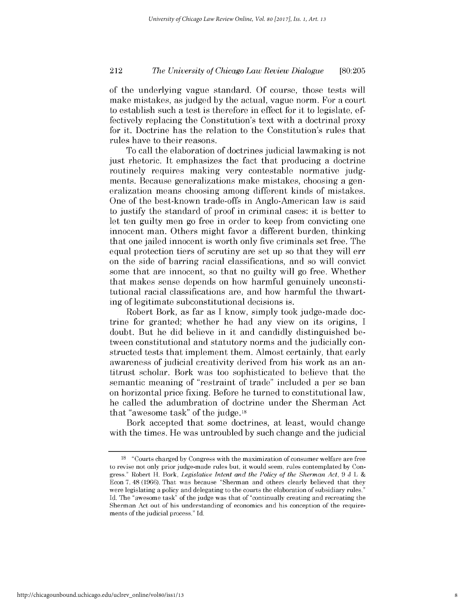# *The University of Chicago Law Review Dialogue* 212 **[80:205**

of the underlying vague standard. **Of** course, those tests will make mistakes, as judged **by** the actual, vague norm. For a court to establish such a test is therefore in effect for it to legislate, effectively replacing the Constitution's text with a doctrinal proxy for it. Doctrine has the relation to the Constitution's rules that rules have to their reasons.

To call the elaboration of doctrines judicial lawmaking is not just rhetoric. It emphasizes the fact that producing a doctrine routinely requires making very contestable normative judgments. Because generalizations make mistakes, choosing a generalization means choosing among different kinds of mistakes. One of the best-known trade-offs in Anglo-American law is said to justify the standard of proof in criminal cases: it is better to let ten guilty men go free in order to keep from convicting one innocent man. Others might favor a different burden, thinking that one jailed innocent is worth only five criminals set free. The equal protection tiers of scrutiny are set up so that they will err on the side of barring racial classifications, and so will convict some that are innocent, so that no guilty will go free. Whether that makes sense depends on how harmful genuinely unconstitutional racial classifications are, and how harmful the thwarting of legitimate subconstitutional decisions **is.**

Robert Bork, as far as **I** know, simply took judge-made doctrine for granted; whether he had any view on its origins, **I** doubt. But he **did** believe in it and candidly distinguished between constitutional and statutory norms and the judicially constructed tests that implement them. Almost certainly, that early awareness of judicial creativity derived from his work as an antitrust scholar. Bork was too sophisticated to believe that the semantic **meaning of "restraint of** trade" included a per se ban on horizontal price fixing. Before he turned to constitutional law, he called the adumbration of doctrine under the Sherman Act that "awesome task" of the **judge.18**

Bork accepted that some doctrines, at least, would change with the times. He was untroubled **by** such change and the judicial

**<sup>18</sup>**"Courts charged **by** Congress with the maximization of consumer welfare are free to revise not only prior judge-made rules but, **it** would seem, rules contemplated **by** Congress." Robert H. Bork, *Legislative Intent and the Policy of the Sherman Act, 9* **J** L **&** Econ **7,** 48 **(1966).** That was because "Sherman and others clearly believed that they were legislating a policy and delegating to the courts the elaboration of subsidiary rules." **Id.** The "awesome task" of the judge was that of "continually creating and recreating the Sherman Act out of his understanding of economics and his conception of the requirements of the judicial process." **Id.**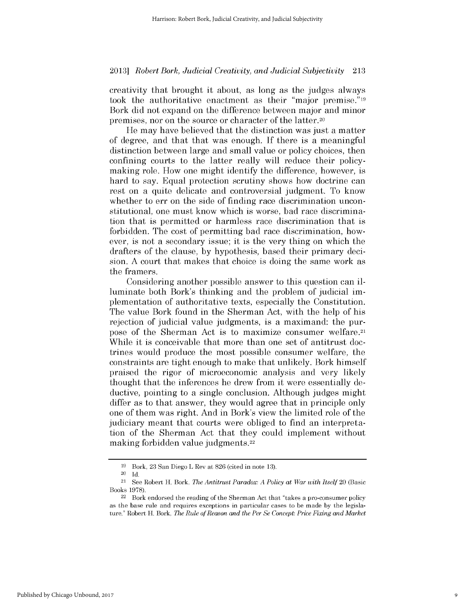creativity that brought it about, as long as the judges always took the authoritative enactment as their "major premise."19 Bork **did** not expand on the difference between major and minor premises, nor on the source or character of the latter.20

He may have believed that the distinction was just a matter of degree, and that that was enough. **If** there is a meaningful distinction between large and small value or policy choices, then confining courts to the latter really will reduce their policymaking role. How one might identify the difference, however, **is** hard to say. Equal protection scrutiny shows how doctrine can rest on a quite delicate and controversial judgment. To know whether to err on the side of finding race discrimination unconstitutional, one must know which is worse, bad race discrimination that is permitted or harmless race discrimination that **is** forbidden. The cost of permitting bad race discrimination, however, is not a secondary issue; it is the very thing on which the drafters of the clause, **by** hypothesis, based their primary decision. **A** court that makes that choice is doing the same work as the framers.

Considering another possible answer to this question can **il**luminate both Bork's thinking and the problem of judicial **im**plementation of authoritative texts, especially the Constitution. The value Bork found in the Sherman Act, with the help of his rejection of judicial value judgments, is a maximand: the purpose of the Sherman Act is to maximize consumer welfare.21 While it is conceivable that more than one set of antitrust doctrines would produce the most possible consumer welfare, the constraints are tight enough to make that unlikely. Bork himself praised the rigor of microeconomic analysis and very likely thought that the inferences he drew from it were essentially deductive, pointing to a single conclusion. Although judges might differ as to that answer, they would agree that in principle only one of them was right. And in Bork's view the limited role of the judiciary meant that courts were obliged to find an interpretation of the Sherman Act that they could implement without making forbidden value judgments.22

**<sup>19</sup>** Bork, **23** San Diego L Rev at **826** (cited in note **13).**

<sup>20</sup>**Id.**

<sup>21</sup>See Robert H. Bork, *The Antitrust Paradox: A Policy at War with Itself* 20 (Basic Books **1978).**

 $22$  Bork endorsed the reading of the Sherman Act that "takes a pro-consumer policy" as the base rule and requires exceptions in particular cases to be made **by** the legislature." Robert H. Bork, *The Rule of Reason and the Per Se Concept: Price Fixing and Market*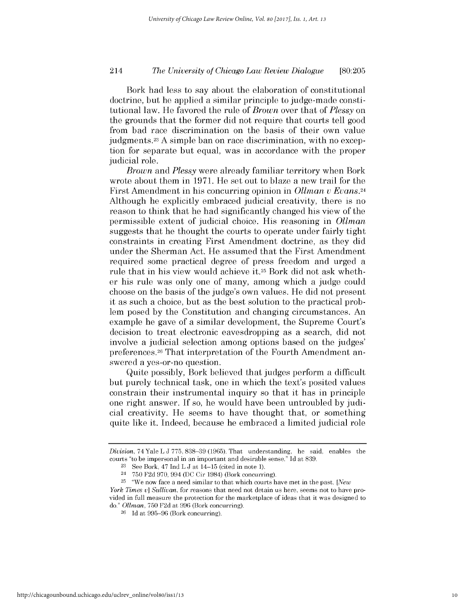# *The University of Chicago Law Review Dialogue* 214 **[80:205**

Bork had less *to* say about the elaboration of constitutional doctrine, but he applied a similar principle to judge-made constitutional law. He favored the rule of *Brown* over that of *Plessy on* the grounds that the former **did** not require that courts tell good from bad race discrimination on the basis of their own value judgments.23 A simple ban on race discrimination, with no exception for separate but equal, was in accordance with the proper judicial role.

*Brown and Plessy* were already familiar territory when Bork wrote about them in **1971.** He set out to blaze a new trail for the First Amendment in his concurring opinion in *Olman v Evans.24* Although he explicitly embraced judicial creativity, there is no reason to think that he had significantly changed his view of the permissible extent of judicial choice. His reasoning in *Ollman* suggests that he thought the courts to operate under fairly tight constraints in creating First Amendment doctrine, as they **did** under the Sherman Act. He assumed that the First Amendment required some practical degree of press freedom and urged a rule that in his view would achieve **it.25** Bork **did** not ask whether his rule was only one of many, among which a judge could choose on the basis of the judge's own values. He **did** not present it as such a choice, but as the best solution to the practical problem posed **by** the Constitution and changing circumstances. An example he gave of a similar development, the Supreme Court's decision to treat electronic eavesdropping as a search, **did** not involve a judicial selection among options based on the judges' preferences.26 That interpretation of the Fourth Amendment answered a yes-or-no question.

Quite possibly, Bork believed that judges perform a difficult but purely technical task, one in which the text's posited values constrain their instrumental inquiry so that it has in principle one right answer. **If** so, he would have been untroubled **by** judicial creativity. He seems to have thought that, or something quite like it. Indeed, because he embraced a limited judicial role

*Division,* 74 Yale L **J 775, 838-39 (1965).** That understanding, he said, enables the courts "to be impersonal in an important and desirable sense." **Id** at **839.**

**<sup>23</sup>**See Bork, 47 Ind L **J** at 14-15 (cited in note **1).**

**<sup>24</sup>750 F2d 970,** 994 **(DC** Cir 1984) (Bork concurring).

**<sup>25</sup>**"We now face a need similar to that which courts have met in the past. *[New*

*York Times v] Sullivan,* for reasons that need not detain us here, seems not to have provided in full measure the protection for the marketplace of ideas that **it** was designed to do." *Olman,* **750 F2d** at **996** (Bork concurring).

**<sup>26</sup> Id** at **995-96** (Bork concurring).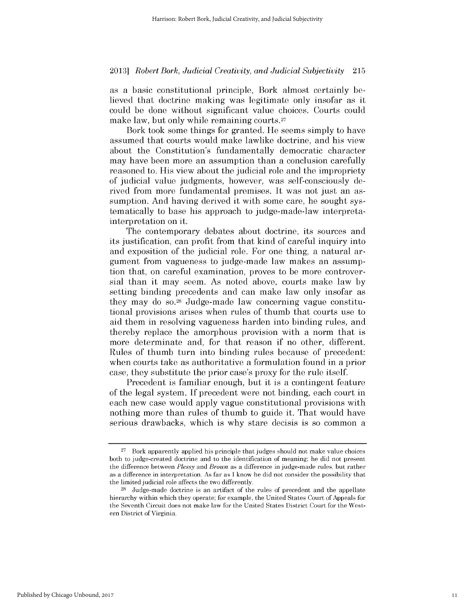as a basic constitutional principle, Bork almost certainly believed that doctrine making was legitimate only insofar as it could be done without significant value choices. Courts could make law, but only while remaining courts.<sup>27</sup>

Bork took some things for granted. He seems simply to have assumed that courts would make lawlike doctrine, and his view about the Constitution's fundamentally democratic character may have been more an assumption than a conclusion carefully reasoned to. His view about the judicial role and the impropriety of judicial value judgments, however, was self-consciously derived from more fundamental premises. It was not just an assumption. And having derived it with some care, he sought systematically to base his approach to judge-made-law interpretainterpretation on it.

The contemporary debates about doctrine, its sources and its justification, can profit from that kind of careful inquiry into and exposition of the judicial role. For one thing, a natural argument from vagueness to judge-made law makes an assumption that, on careful examination, proves to be more controversial than it may seem. As noted above, courts make law **by** setting binding precedents and can make law only insofar as they may do **so. <sup>2</sup> <sup>8</sup>**Judge-made law concerning vague constitutional provisions arises when rules of thumb that courts use to aid them in resolving vagueness harden into binding rules, and thereby replace the amorphous provision with a norm that **is** more determinate and, for that reason **if** no other, different. Rules of thumb turn into binding rules because of precedent: when courts take as authoritative a formulation found in a prior case, they substitute the prior case's proxy for the rule itself.

Precedent is familiar enough, but it *is* a contingent feature of the legal system. **If** precedent were not binding, each court in each new case would apply vague constitutional provisions with nothing more than rules of thumb to guide it. That would have serious drawbacks, which is why stare decisis is so common a

**<sup>27</sup>**Bork apparently applied his principle that judges should not make value choices both to judge-created doctrine and to the identification of meaning; he did not present the difference between *Plessy and Brown* as a difference in judge-made rules, but rather as a difference in interpretation. As far as **I** know he did not consider the possibility that the limited judicial role affects the two differently.

**<sup>28</sup>**Judge-made doctrine is an artifact of the rules of precedent and the appellate hierarchy within which they operate; for example, the United States Court of Appeals for the Seventh Circuit does not make law for the United States District Court for the Western District of Virginia.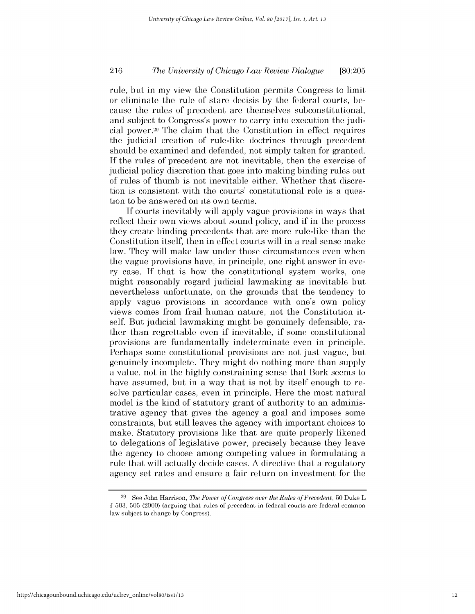# *The University of Chicago Law Review Dialogue* 216 **[80:205**

rule, but in my view the Constitution permits Congress to limit or eliminate the rule of stare decisis **by** the federal courts, because the rules of precedent are themselves subconstitutional, and subject to Congress's power to carry into execution the judicial power. 29 The claim that the Constitution in effect requires the judicial creation of rule-like doctrines through precedent should be examined and defended, not simply taken for granted. **If** the rules of precedent are not inevitable, then the exercise of judicial policy discretion that goes into making binding rules out of rules of thumb is not inevitable either. Whether that discretion is consistent with the courts' constitutional role is a question to be answered on its own terms.

**If** courts inevitably will apply vague provisions in ways that reflect their own views about sound policy, and **if** in the process they create binding precedents that are more rule-like than the Constitution itself, then in effect courts will in a real sense make law. They will make law under those circumstances even when the vague provisions have, in principle, one right answer in every case. **If** that is how the constitutional system works, one might reasonably regard judicial lawmaking as inevitable but nevertheless unfortunate, on the grounds that the tendency to apply vague provisions in accordance with one's own policy views comes from frail human nature, not the Constitution itself. But judicial lawmaking might be genuinely defensible, rather than regrettable even **if** inevitable, **if** some constitutional provisions are fundamentally indeterminate even in principle. Perhaps some constitutional provisions are not just vague, but genuinely incomplete. They might do nothing more than supply a value, not in the **highly** constraining sense that Bork seems to have assumed, but **in** a way that is not **by** itself enough to resolve particular cases, even in principle. Here the most natural model is the kind of statutory grant of authority to an administrative agency that gives the agency a goal and imposes some constraints, but still leaves the agency with important choices to make. Statutory provisions like that are quite properly likened to delegations of legislative power, precisely because they leave the agency to choose among competing values in formulating a rule that will actually decide cases. **A** directive that a regulatory agency set rates and ensure a fair return on investment for the

**<sup>29</sup> See** John Harrison, *The Power of Congress over the Rules of Precedent,* **50** Duke L **J 503, 505** (2000) (arguing that rules of precedent in federal courts are federal common law subject to change **by** Congress).